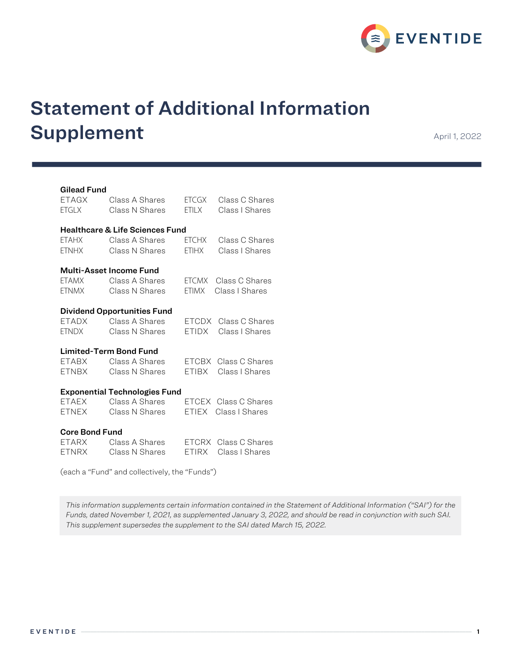

# Statement of Additional Information Supplement April 1, 2022

## Gilead Fund

| ETAGX                                      | Class A Shares | ETCGX        | Class C Shares       |  |  |  |
|--------------------------------------------|----------------|--------------|----------------------|--|--|--|
| <b>ETGLX</b>                               | Class N Shares | <b>ETILX</b> | Class I Shares       |  |  |  |
| <b>Healthcare &amp; Life Sciences Fund</b> |                |              |                      |  |  |  |
| <b>ETAHX</b>                               | Class A Shares | ETCHX        | Class C Shares       |  |  |  |
| <b>ETNHX</b>                               | Class N Shares | <b>ETIHX</b> | Class I Shares       |  |  |  |
| <b>Multi-Asset Income Fund</b>             |                |              |                      |  |  |  |
| <b>ETAMX</b>                               | Class A Shares | FTCMX        | Class C Shares       |  |  |  |
| <b>ETNMX</b>                               | Class N Shares | <b>FTIMX</b> | Class I Shares       |  |  |  |
| <b>Dividend Opportunities Fund</b>         |                |              |                      |  |  |  |
| ETADX                                      | Class A Shares |              | ETCDX Class C Shares |  |  |  |
| <b>ETNDX</b>                               | Class N Shares | ETIDX        | Class I Shares       |  |  |  |
| <b>Limited-Term Bond Fund</b>              |                |              |                      |  |  |  |
| ETABX                                      | Class A Shares |              | ETCBX Class C Shares |  |  |  |
| ETNBX                                      | Class N Shares | FTIRX I      | Class I Shares       |  |  |  |
| <b>Exponential Technologies Fund</b>       |                |              |                      |  |  |  |
| <b>ETAEX</b>                               | Class A Shares |              | ETCEX Class C Shares |  |  |  |
| <b>ETNEX</b>                               | Class N Shares | <b>ETIEX</b> | Class I Shares       |  |  |  |
| <b>Core Bond Fund</b>                      |                |              |                      |  |  |  |

| <b>FTARX</b> | Class A Shares | ETCRX Class C Shares |
|--------------|----------------|----------------------|
| <b>FTNRX</b> | Class N Shares | ETIRX Class I Shares |

(each a "Fund" and collectively, the "Funds")

*This information supplements certain information contained in the Statement of Additional Information ("SAI") for the Funds, dated November 1, 2021, as supplemented January 3, 2022, and should be read in conjunction with such SAI. This supplement supersedes the supplement to the SAI dated March 15, 2022.*